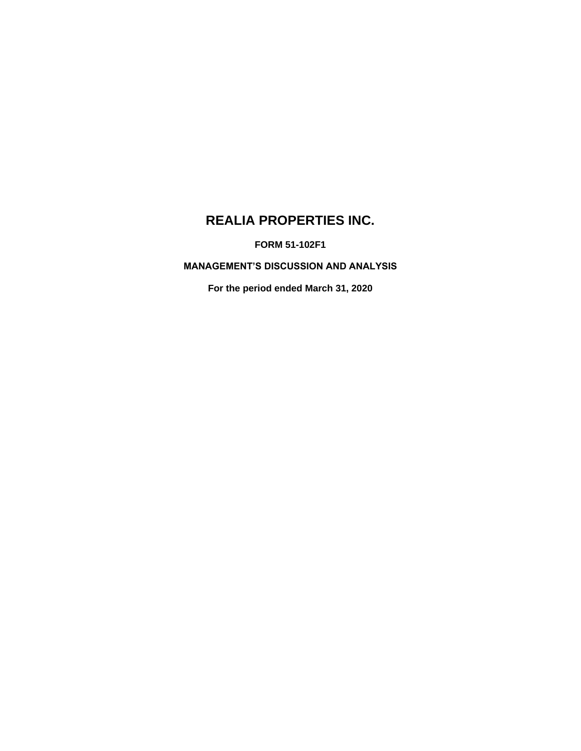# **REALIA PROPERTIES INC.**

**FORM 51-102F1**

**MANAGEMENT'S DISCUSSION AND ANALYSIS**

**For the period ended March 31, 2020**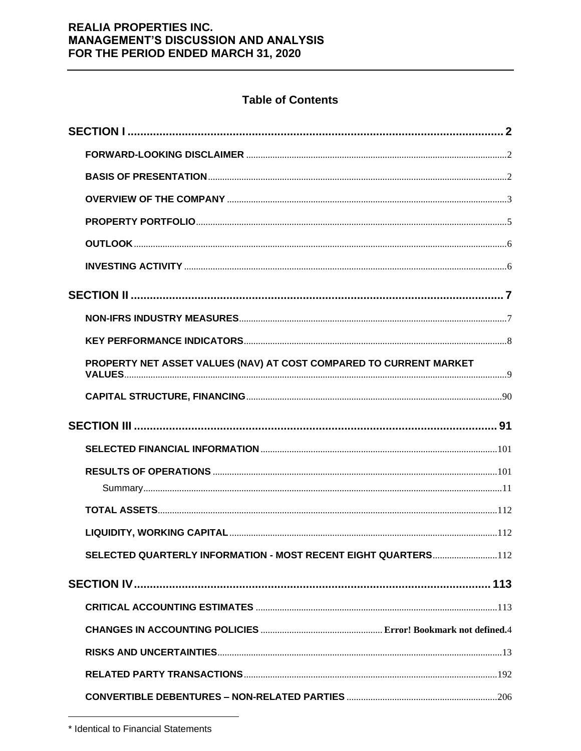## **Table of Contents**

| PROPERTY NET ASSET VALUES (NAV) AT COST COMPARED TO CURRENT MARKET |  |
|--------------------------------------------------------------------|--|
|                                                                    |  |
|                                                                    |  |
|                                                                    |  |
|                                                                    |  |
|                                                                    |  |
|                                                                    |  |
|                                                                    |  |
|                                                                    |  |
| SELECTED QUARTERLY INFORMATION - MOST RECENT EIGHT QUARTERS112     |  |
|                                                                    |  |
|                                                                    |  |
|                                                                    |  |
|                                                                    |  |
|                                                                    |  |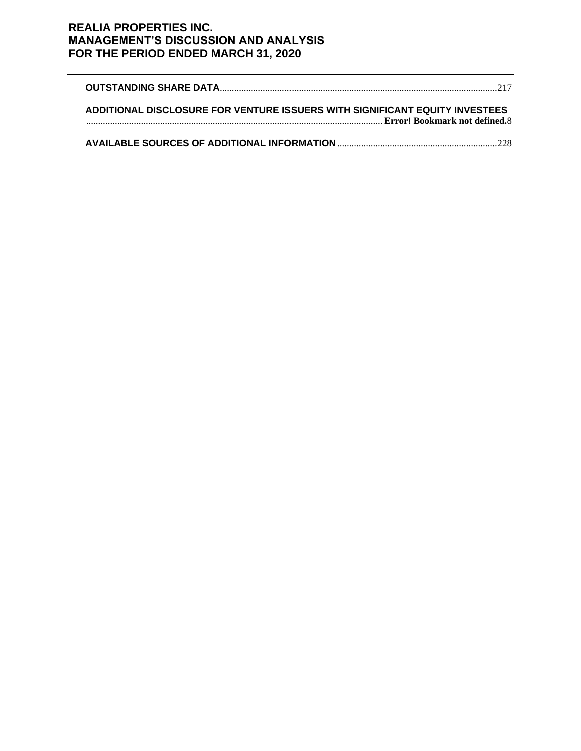| ADDITIONAL DISCLOSURE FOR VENTURE ISSUERS WITH SIGNIFICANT EQUITY INVESTEES |  |
|-----------------------------------------------------------------------------|--|
|                                                                             |  |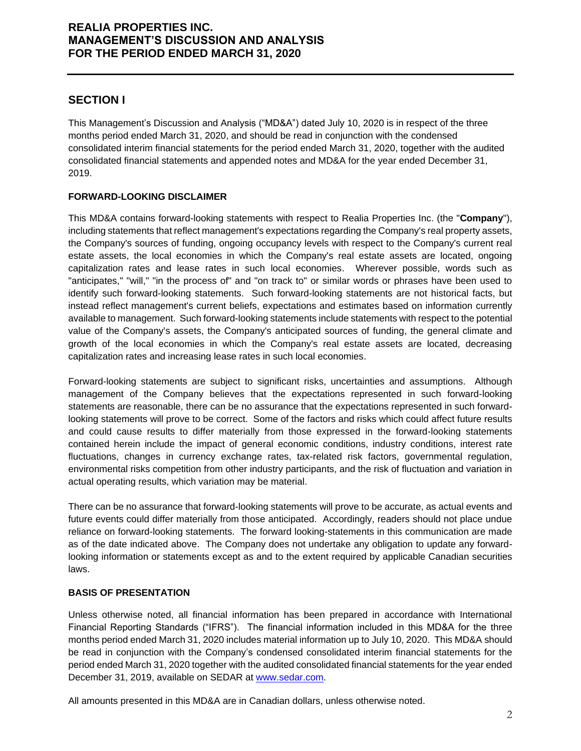## **SECTION I**

This Management's Discussion and Analysis ("MD&A") dated July 10, 2020 is in respect of the three months period ended March 31, 2020, and should be read in conjunction with the condensed consolidated interim financial statements for the period ended March 31, 2020, together with the audited consolidated financial statements and appended notes and MD&A for the year ended December 31, 2019.

## **FORWARD-LOOKING DISCLAIMER**

This MD&A contains forward-looking statements with respect to Realia Properties Inc. (the "**Company**"), including statements that reflect management's expectations regarding the Company's real property assets, the Company's sources of funding, ongoing occupancy levels with respect to the Company's current real estate assets, the local economies in which the Company's real estate assets are located, ongoing capitalization rates and lease rates in such local economies. Wherever possible, words such as "anticipates," "will," "in the process of" and "on track to" or similar words or phrases have been used to identify such forward-looking statements. Such forward-looking statements are not historical facts, but instead reflect management's current beliefs, expectations and estimates based on information currently available to management. Such forward-looking statements include statements with respect to the potential value of the Company's assets, the Company's anticipated sources of funding, the general climate and growth of the local economies in which the Company's real estate assets are located, decreasing capitalization rates and increasing lease rates in such local economies.

Forward-looking statements are subject to significant risks, uncertainties and assumptions. Although management of the Company believes that the expectations represented in such forward-looking statements are reasonable, there can be no assurance that the expectations represented in such forwardlooking statements will prove to be correct. Some of the factors and risks which could affect future results and could cause results to differ materially from those expressed in the forward-looking statements contained herein include the impact of general economic conditions, industry conditions, interest rate fluctuations, changes in currency exchange rates, tax-related risk factors, governmental regulation, environmental risks competition from other industry participants, and the risk of fluctuation and variation in actual operating results, which variation may be material.

There can be no assurance that forward-looking statements will prove to be accurate, as actual events and future events could differ materially from those anticipated. Accordingly, readers should not place undue reliance on forward-looking statements. The forward looking-statements in this communication are made as of the date indicated above. The Company does not undertake any obligation to update any forwardlooking information or statements except as and to the extent required by applicable Canadian securities laws.

## **BASIS OF PRESENTATION**

Unless otherwise noted, all financial information has been prepared in accordance with International Financial Reporting Standards ("IFRS"). The financial information included in this MD&A for the three months period ended March 31, 2020 includes material information up to July 10, 2020. This MD&A should be read in conjunction with the Company's condensed consolidated interim financial statements for the period ended March 31, 2020 together with the audited consolidated financial statements for the year ended December 31, 2019, available on SEDAR at [www.sedar.com.](http://www.sedar.com/)

All amounts presented in this MD&A are in Canadian dollars, unless otherwise noted.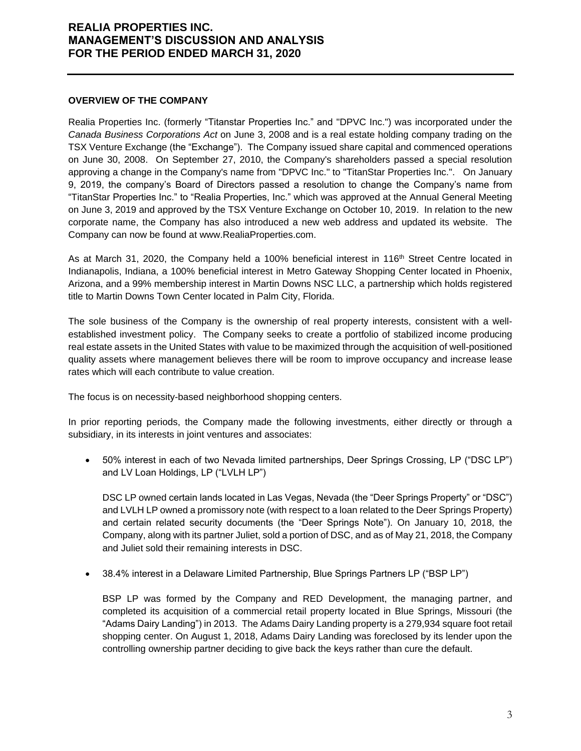#### **OVERVIEW OF THE COMPANY**

Realia Properties Inc. (formerly "Titanstar Properties Inc." and "DPVC Inc.") was incorporated under the *Canada Business Corporations Act* on June 3, 2008 and is a real estate holding company trading on the TSX Venture Exchange (the "Exchange"). The Company issued share capital and commenced operations on June 30, 2008. On September 27, 2010, the Company's shareholders passed a special resolution approving a change in the Company's name from "DPVC Inc." to "TitanStar Properties Inc.". On January 9, 2019, the company's Board of Directors passed a resolution to change the Company's name from "TitanStar Properties Inc." to "Realia Properties, Inc." which was approved at the Annual General Meeting on June 3, 2019 and approved by the TSX Venture Exchange on October 10, 2019. In relation to the new corporate name, the Company has also introduced a new web address and updated its website. The Company can now be found at www.RealiaProperties.com.

As at March 31, 2020, the Company held a 100% beneficial interest in 116<sup>th</sup> Street Centre located in Indianapolis, Indiana, a 100% beneficial interest in Metro Gateway Shopping Center located in Phoenix, Arizona, and a 99% membership interest in Martin Downs NSC LLC, a partnership which holds registered title to Martin Downs Town Center located in Palm City, Florida.

The sole business of the Company is the ownership of real property interests, consistent with a wellestablished investment policy. The Company seeks to create a portfolio of stabilized income producing real estate assets in the United States with value to be maximized through the acquisition of well-positioned quality assets where management believes there will be room to improve occupancy and increase lease rates which will each contribute to value creation.

The focus is on necessity-based neighborhood shopping centers.

In prior reporting periods, the Company made the following investments, either directly or through a subsidiary, in its interests in joint ventures and associates:

• 50% interest in each of two Nevada limited partnerships, Deer Springs Crossing, LP ("DSC LP") and LV Loan Holdings, LP ("LVLH LP")

DSC LP owned certain lands located in Las Vegas, Nevada (the "Deer Springs Property" or "DSC") and LVLH LP owned a promissory note (with respect to a loan related to the Deer Springs Property) and certain related security documents (the "Deer Springs Note"). On January 10, 2018, the Company, along with its partner Juliet, sold a portion of DSC, and as of May 21, 2018, the Company and Juliet sold their remaining interests in DSC.

• 38.4% interest in a Delaware Limited Partnership, Blue Springs Partners LP ("BSP LP")

BSP LP was formed by the Company and RED Development, the managing partner, and completed its acquisition of a commercial retail property located in Blue Springs, Missouri (the "Adams Dairy Landing") in 2013. The Adams Dairy Landing property is a 279,934 square foot retail shopping center. On August 1, 2018, Adams Dairy Landing was foreclosed by its lender upon the controlling ownership partner deciding to give back the keys rather than cure the default.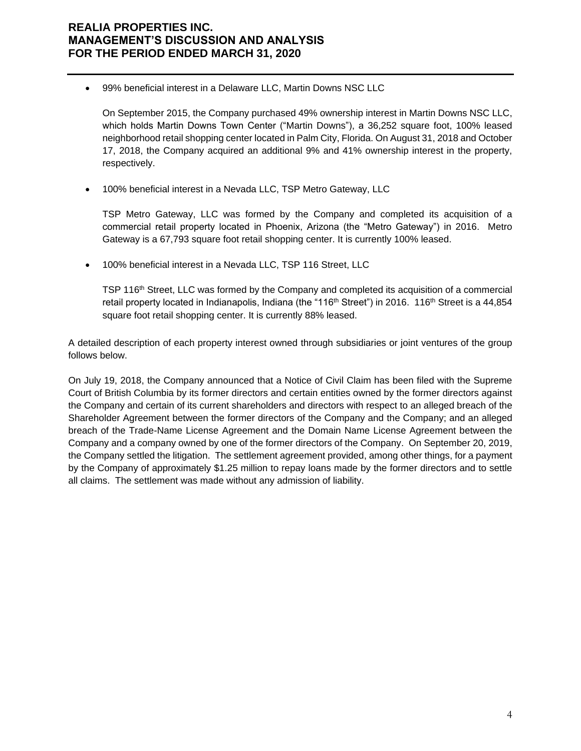• 99% beneficial interest in a Delaware LLC, Martin Downs NSC LLC

On September 2015, the Company purchased 49% ownership interest in Martin Downs NSC LLC, which holds Martin Downs Town Center ("Martin Downs"), a 36,252 square foot, 100% leased neighborhood retail shopping center located in Palm City, Florida. On August 31, 2018 and October 17, 2018, the Company acquired an additional 9% and 41% ownership interest in the property, respectively.

• 100% beneficial interest in a Nevada LLC, TSP Metro Gateway, LLC

TSP Metro Gateway, LLC was formed by the Company and completed its acquisition of a commercial retail property located in Phoenix, Arizona (the "Metro Gateway") in 2016. Metro Gateway is a 67,793 square foot retail shopping center. It is currently 100% leased.

• 100% beneficial interest in a Nevada LLC, TSP 116 Street, LLC

TSP 116th Street, LLC was formed by the Company and completed its acquisition of a commercial retail property located in Indianapolis, Indiana (the "116<sup>th</sup> Street") in 2016. 116<sup>th</sup> Street is a 44,854 square foot retail shopping center. It is currently 88% leased.

A detailed description of each property interest owned through subsidiaries or joint ventures of the group follows below.

On July 19, 2018, the Company announced that a Notice of Civil Claim has been filed with the Supreme Court of British Columbia by its former directors and certain entities owned by the former directors against the Company and certain of its current shareholders and directors with respect to an alleged breach of the Shareholder Agreement between the former directors of the Company and the Company; and an alleged breach of the Trade-Name License Agreement and the Domain Name License Agreement between the Company and a company owned by one of the former directors of the Company. On September 20, 2019, the Company settled the litigation. The settlement agreement provided, among other things, for a payment by the Company of approximately \$1.25 million to repay loans made by the former directors and to settle all claims. The settlement was made without any admission of liability.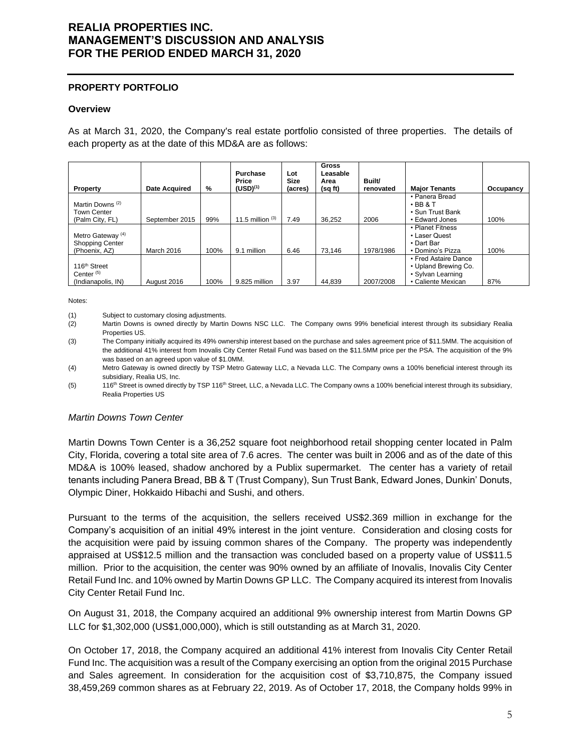#### **PROPERTY PORTFOLIO**

#### **Overview**

As at March 31, 2020, the Company's real estate portfolio consisted of three properties. The details of each property as at the date of this MD&A are as follows:

| Property                     | <b>Date Acquired</b> | %    | Purchase<br>Price<br>$(USD)^{(1)}$ | Lot<br>Size<br>(acres) | <b>Gross</b><br>Leasable<br>Area<br>(sq ft) | Built/<br>renovated | <b>Major Tenants</b>             | Occupancy |
|------------------------------|----------------------|------|------------------------------------|------------------------|---------------------------------------------|---------------------|----------------------------------|-----------|
| Martin Downs <sup>(2)</sup>  |                      |      |                                    |                        |                                             |                     | • Panera Bread<br>$\cdot$ BB & T |           |
| <b>Town Center</b>           |                      |      |                                    |                        |                                             |                     | • Sun Trust Bank                 |           |
| (Palm City, FL)              | September 2015       | 99%  | 11.5 million $(3)$                 | 7.49                   | 36.252                                      | 2006                | • Edward Jones                   | 100%      |
|                              |                      |      |                                    |                        |                                             |                     | • Planet Fitness                 |           |
| Metro Gateway <sup>(4)</sup> |                      |      |                                    |                        |                                             |                     | • Laser Quest                    |           |
| <b>Shopping Center</b>       |                      |      |                                    |                        |                                             |                     | • Dart Bar                       |           |
| (Phoenix, AZ)                | March 2016           | 100% | 9.1 million                        | 6.46                   | 73.146                                      | 1978/1986           | • Domino's Pizza                 | 100%      |
|                              |                      |      |                                    |                        |                                             |                     | • Fred Astaire Dance             |           |
| 116 <sup>th</sup> Street     |                      |      |                                    |                        |                                             |                     | • Upland Brewing Co.             |           |
| Center <sup>(5)</sup>        |                      |      |                                    |                        |                                             |                     | • Sylvan Learning                |           |
| (Indianapolis, IN)           | August 2016          | 100% | 9.825 million                      | 3.97                   | 44.839                                      | 2007/2008           | • Caliente Mexican               | 87%       |

Notes:

(1) Subject to customary closing adjustments.

(2) Martin Downs is owned directly by Martin Downs NSC LLC. The Company owns 99% beneficial interest through its subsidiary Realia Properties US.

(3) The Company initially acquired its 49% ownership interest based on the purchase and sales agreement price of \$11.5MM. The acquisition of the additional 41% interest from Inovalis City Center Retail Fund was based on the \$11.5MM price per the PSA. The acquisition of the 9% was based on an agreed upon value of \$1.0MM.

(4) Metro Gateway is owned directly by TSP Metro Gateway LLC, a Nevada LLC. The Company owns a 100% beneficial interest through its subsidiary, Realia US, Inc.

(5) 116<sup>th</sup> Street is owned directly by TSP 116<sup>th</sup> Street, LLC, a Nevada LLC. The Company owns a 100% beneficial interest through its subsidiary, Realia Properties US

### *Martin Downs Town Center*

Martin Downs Town Center is a 36,252 square foot neighborhood retail shopping center located in Palm City, Florida, covering a total site area of 7.6 acres. The center was built in 2006 and as of the date of this MD&A is 100% leased, shadow anchored by a Publix supermarket. The center has a variety of retail tenants including Panera Bread, BB & T (Trust Company), Sun Trust Bank, Edward Jones, Dunkin' Donuts, Olympic Diner, Hokkaido Hibachi and Sushi, and others.

Pursuant to the terms of the acquisition, the sellers received US\$2.369 million in exchange for the Company's acquisition of an initial 49% interest in the joint venture. Consideration and closing costs for the acquisition were paid by issuing common shares of the Company. The property was independently appraised at US\$12.5 million and the transaction was concluded based on a property value of US\$11.5 million. Prior to the acquisition, the center was 90% owned by an affiliate of Inovalis, Inovalis City Center Retail Fund Inc. and 10% owned by Martin Downs GP LLC. The Company acquired its interest from Inovalis City Center Retail Fund Inc.

On August 31, 2018, the Company acquired an additional 9% ownership interest from Martin Downs GP LLC for \$1,302,000 (US\$1,000,000), which is still outstanding as at March 31, 2020.

On October 17, 2018, the Company acquired an additional 41% interest from Inovalis City Center Retail Fund Inc. The acquisition was a result of the Company exercising an option from the original 2015 Purchase and Sales agreement. In consideration for the acquisition cost of \$3,710,875, the Company issued 38,459,269 common shares as at February 22, 2019. As of October 17, 2018, the Company holds 99% in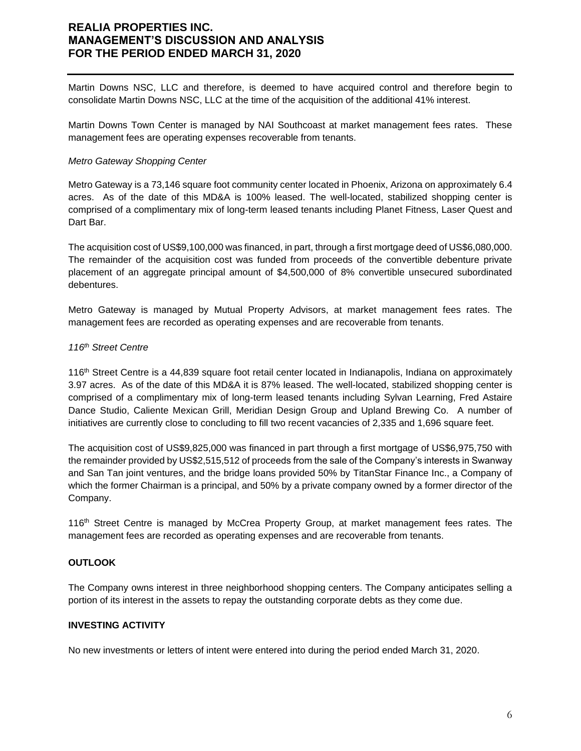Martin Downs NSC, LLC and therefore, is deemed to have acquired control and therefore begin to consolidate Martin Downs NSC, LLC at the time of the acquisition of the additional 41% interest.

Martin Downs Town Center is managed by NAI Southcoast at market management fees rates. These management fees are operating expenses recoverable from tenants.

#### *Metro Gateway Shopping Center*

Metro Gateway is a 73,146 square foot community center located in Phoenix, Arizona on approximately 6.4 acres. As of the date of this MD&A is 100% leased. The well-located, stabilized shopping center is comprised of a complimentary mix of long-term leased tenants including Planet Fitness, Laser Quest and Dart Bar.

The acquisition cost of US\$9,100,000 was financed, in part, through a first mortgage deed of US\$6,080,000. The remainder of the acquisition cost was funded from proceeds of the convertible debenture private placement of an aggregate principal amount of \$4,500,000 of 8% convertible unsecured subordinated debentures.

Metro Gateway is managed by Mutual Property Advisors, at market management fees rates. The management fees are recorded as operating expenses and are recoverable from tenants.

#### *116th Street Centre*

116th Street Centre is a 44,839 square foot retail center located in Indianapolis, Indiana on approximately 3.97 acres. As of the date of this MD&A it is 87% leased. The well-located, stabilized shopping center is comprised of a complimentary mix of long-term leased tenants including Sylvan Learning, Fred Astaire Dance Studio, Caliente Mexican Grill, Meridian Design Group and Upland Brewing Co. A number of initiatives are currently close to concluding to fill two recent vacancies of 2,335 and 1,696 square feet.

The acquisition cost of US\$9,825,000 was financed in part through a first mortgage of US\$6,975,750 with the remainder provided by US\$2,515,512 of proceeds from the sale of the Company's interests in Swanway and San Tan joint ventures, and the bridge loans provided 50% by TitanStar Finance Inc., a Company of which the former Chairman is a principal, and 50% by a private company owned by a former director of the Company.

116<sup>th</sup> Street Centre is managed by McCrea Property Group, at market management fees rates. The management fees are recorded as operating expenses and are recoverable from tenants.

### **OUTLOOK**

The Company owns interest in three neighborhood shopping centers. The Company anticipates selling a portion of its interest in the assets to repay the outstanding corporate debts as they come due.

### **INVESTING ACTIVITY**

No new investments or letters of intent were entered into during the period ended March 31, 2020.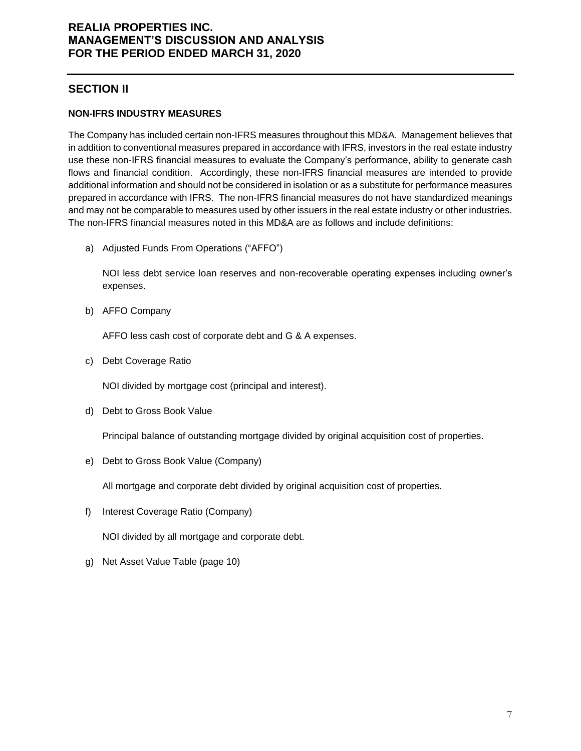## **SECTION II**

## **NON-IFRS INDUSTRY MEASURES**

The Company has included certain non-IFRS measures throughout this MD&A. Management believes that in addition to conventional measures prepared in accordance with IFRS, investors in the real estate industry use these non-IFRS financial measures to evaluate the Company's performance, ability to generate cash flows and financial condition. Accordingly, these non-IFRS financial measures are intended to provide additional information and should not be considered in isolation or as a substitute for performance measures prepared in accordance with IFRS. The non-IFRS financial measures do not have standardized meanings and may not be comparable to measures used by other issuers in the real estate industry or other industries. The non-IFRS financial measures noted in this MD&A are as follows and include definitions:

a) Adjusted Funds From Operations ("AFFO")

NOI less debt service loan reserves and non-recoverable operating expenses including owner's expenses.

b) AFFO Company

AFFO less cash cost of corporate debt and G & A expenses.

c) Debt Coverage Ratio

NOI divided by mortgage cost (principal and interest).

d) Debt to Gross Book Value

Principal balance of outstanding mortgage divided by original acquisition cost of properties.

e) Debt to Gross Book Value (Company)

All mortgage and corporate debt divided by original acquisition cost of properties.

f) Interest Coverage Ratio (Company)

NOI divided by all mortgage and corporate debt.

g) Net Asset Value Table (page 10)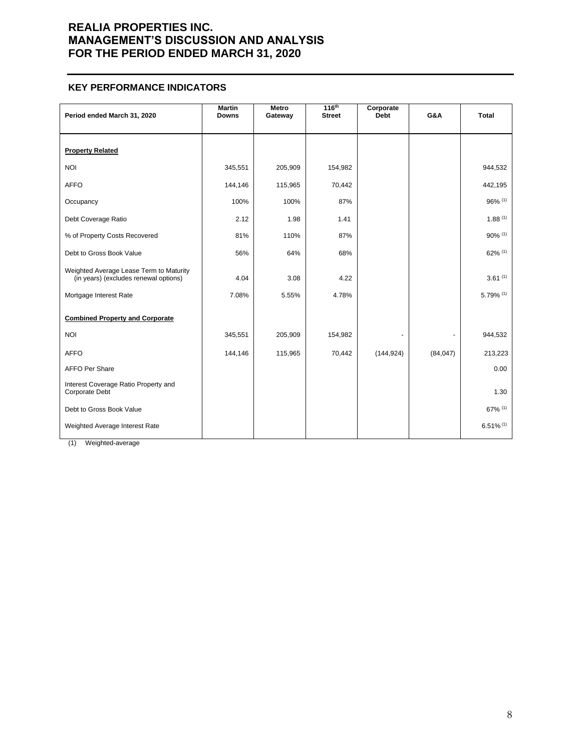### **KEY PERFORMANCE INDICATORS**

| Period ended March 31, 2020                                                      | <b>Martin</b><br><b>Downs</b> | Metro<br>Gateway | 116 <sup>th</sup><br><b>Street</b> | Corporate<br><b>Debt</b> | G&A       | <b>Total</b>            |
|----------------------------------------------------------------------------------|-------------------------------|------------------|------------------------------------|--------------------------|-----------|-------------------------|
| <b>Property Related</b>                                                          |                               |                  |                                    |                          |           |                         |
| <b>NOI</b>                                                                       | 345,551                       | 205,909          | 154,982                            |                          |           | 944,532                 |
| <b>AFFO</b>                                                                      | 144,146                       | 115,965          | 70,442                             |                          |           | 442,195                 |
| Occupancy                                                                        | 100%                          | 100%             | 87%                                |                          |           | 96% (1)                 |
| Debt Coverage Ratio                                                              | 2.12                          | 1.98             | 1.41                               |                          |           | $1.88^{(1)}$            |
| % of Property Costs Recovered                                                    | 81%                           | 110%             | 87%                                |                          |           | 90% (1)                 |
| Debt to Gross Book Value                                                         | 56%                           | 64%              | 68%                                |                          |           | 62% (1)                 |
| Weighted Average Lease Term to Maturity<br>(in years) (excludes renewal options) | 4.04                          | 3.08             | 4.22                               |                          |           | 3.61(1)                 |
| Mortgage Interest Rate                                                           | 7.08%                         | 5.55%            | 4.78%                              |                          |           | 5.79% (1)               |
| <b>Combined Property and Corporate</b>                                           |                               |                  |                                    |                          |           |                         |
| <b>NOI</b>                                                                       | 345,551                       | 205,909          | 154,982                            |                          |           | 944,532                 |
| <b>AFFO</b>                                                                      | 144,146                       | 115,965          | 70,442                             | (144, 924)               | (84, 047) | 213,223                 |
| <b>AFFO Per Share</b>                                                            |                               |                  |                                    |                          |           | 0.00                    |
| Interest Coverage Ratio Property and<br>Corporate Debt                           |                               |                  |                                    |                          |           | 1.30                    |
| Debt to Gross Book Value                                                         |                               |                  |                                    |                          |           | 67% (1)                 |
| Weighted Average Interest Rate                                                   |                               |                  |                                    |                          |           | $6.51\%$ <sup>(1)</sup> |

(1) Weighted-average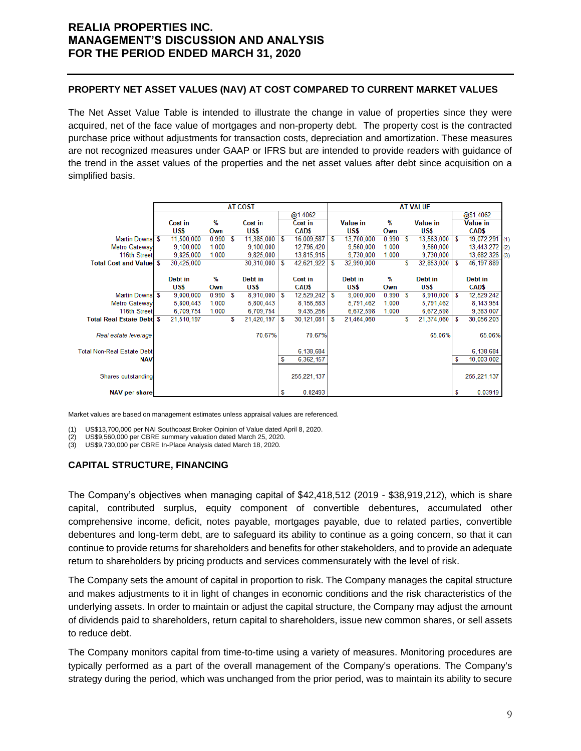### **PROPERTY NET ASSET VALUES (NAV) AT COST COMPARED TO CURRENT MARKET VALUES**

The Net Asset Value Table is intended to illustrate the change in value of properties since they were acquired, net of the face value of mortgages and non-property debt. The property cost is the contracted purchase price without adjustments for transaction costs, depreciation and amortization. These measures are not recognized measures under GAAP or IFRS but are intended to provide readers with guidance of the trend in the asset values of the properties and the net asset values after debt since acquisition on a simplified basis.

|                                   | <b>AT COST</b> |            |       |   |            |     |               | <b>AT VALUE</b> |                 |       |   |                        |   |                   |
|-----------------------------------|----------------|------------|-------|---|------------|-----|---------------|-----------------|-----------------|-------|---|------------------------|---|-------------------|
|                                   |                |            |       |   |            |     | @1.4062       |                 |                 |       |   |                        |   | @\$1.4062         |
|                                   |                | Cost in    | %     |   | Cost in    |     | Cost in       |                 | <b>Value in</b> | %     |   | <b>Value in</b>        |   | <b>Value in</b>   |
|                                   |                | US\$       | Own   |   | US\$       |     | <b>CAD\$</b>  |                 | US\$            | Own   |   | US\$                   |   | <b>CAD\$</b>      |
| Martin Downs \$                   |                | 11,500,000 | 0.990 | S | 11,385,000 | l S | 16,009,587    | S               | 13,700,000      | 0.990 | S | $13,563,000$   \$      |   | 19,072,291<br>(1) |
| <b>Metro Gateway</b>              |                | 9.100.000  | 1.000 |   | 9,100,000  |     | 12,796,420    |                 | 9.560.000       | 1.000 |   | 9,560,000              |   | 13,443,272 (2)    |
| 116th Street                      |                | 9,825,000  | 1.000 |   | 9,825,000  |     | 13,815,915    |                 | 9.730.000       | 1.000 |   | 9,730,000              |   | 13,682,326 (3)    |
| <b>Total Cost and Value \$</b>    |                | 30,425,000 |       |   | 30,310,000 | S   | 42,621,922    | S               | 32,990,000      |       | S | 32,853,000             | S | 46, 197, 889      |
|                                   |                |            |       |   |            |     |               |                 |                 |       |   |                        |   |                   |
|                                   |                | Debt in    | %     |   | Debt in    |     | Cost in       |                 | Debt in         | %     |   | Debt in                |   | Debt in           |
|                                   |                | US\$       | Own   |   | US\$       |     | <b>CAD\$</b>  |                 | US\$            | Own   |   | US\$                   |   | CAD\$             |
| Martin Downs \$                   |                | 9,000,000  | 0.990 | S | 8,910,000  | S   | 12,529,242    | S               | 9,000,000       | 0.990 | S | $8,910,000$ $\sqrt{S}$ |   | 12,529,242        |
| <b>Metro Gateway</b>              |                | 5,800,443  | 1.000 |   | 5.800.443  |     | 8.156.583     |                 | 5.791.462       | 1.000 |   | 5,791,462              |   | 8,143,954         |
| 116th Street                      |                | 6,709,754  | 1.000 |   | 6,709,754  |     | 9,435,256     |                 | 6.672.598       | 1.000 |   | 6,672,598              |   | 9,383,007         |
| <b>Total Real Estate Debt</b> \$  |                | 21,510,197 |       | S | 21,420,197 | S   | 30,121,081    | S               | 21,464,060      |       | S | 21,374,060             | S | 30,056,203        |
|                                   |                |            |       |   |            |     |               |                 |                 |       |   |                        |   |                   |
| Real estate leverage              |                |            |       |   | 70.67%     |     | 70.67%        |                 |                 |       |   | 65.06%                 |   | 65.06%            |
|                                   |                |            |       |   |            |     |               |                 |                 |       |   |                        |   |                   |
| <b>Total Non-Real Estate Debt</b> |                |            |       |   |            |     | 6,138,684     |                 |                 |       |   |                        |   | 6,138,684         |
| <b>NAV</b>                        |                |            |       |   |            | s   | 6,362,157     |                 |                 |       |   |                        | s | 10.003.002        |
|                                   |                |            |       |   |            |     |               |                 |                 |       |   |                        |   |                   |
| Shares outstanding                |                |            |       |   |            |     | 255, 221, 137 |                 |                 |       |   |                        |   | 255, 221, 137     |
|                                   |                |            |       |   |            |     |               |                 |                 |       |   |                        |   |                   |
| <b>NAV per share</b>              |                |            |       |   |            | S   | 0.02493       |                 |                 |       |   |                        | S | 0.03919           |

Market values are based on management estimates unless appraisal values are referenced.

- (1) US\$13,700,000 per NAI Southcoast Broker Opinion of Value dated April 8, 2020.
- US\$9,560,000 per CBRE summary valuation dated March 25, 2020.
- (3) US\$9,730,000 per CBRE In-Place Analysis dated March 18, 2020.

### **CAPITAL STRUCTURE, FINANCING**

The Company's objectives when managing capital of \$42,418,512 (2019 - \$38,919,212), which is share capital, contributed surplus, equity component of convertible debentures, accumulated other comprehensive income, deficit, notes payable, mortgages payable, due to related parties, convertible debentures and long-term debt, are to safeguard its ability to continue as a going concern, so that it can continue to provide returns for shareholders and benefits for other stakeholders, and to provide an adequate return to shareholders by pricing products and services commensurately with the level of risk.

The Company sets the amount of capital in proportion to risk. The Company manages the capital structure and makes adjustments to it in light of changes in economic conditions and the risk characteristics of the underlying assets. In order to maintain or adjust the capital structure, the Company may adjust the amount of dividends paid to shareholders, return capital to shareholders, issue new common shares, or sell assets to reduce debt.

The Company monitors capital from time-to-time using a variety of measures. Monitoring procedures are typically performed as a part of the overall management of the Company's operations. The Company's strategy during the period, which was unchanged from the prior period, was to maintain its ability to secure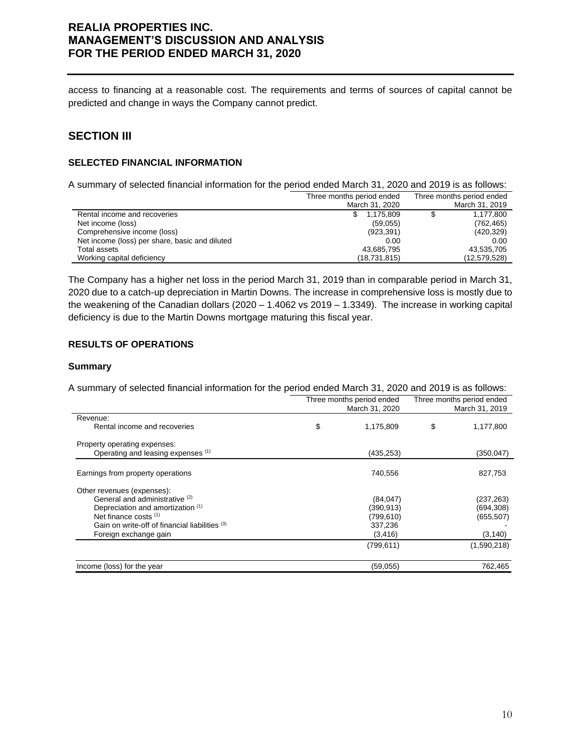access to financing at a reasonable cost. The requirements and terms of sources of capital cannot be predicted and change in ways the Company cannot predict.

## **SECTION III**

## **SELECTED FINANCIAL INFORMATION**

A summary of selected financial information for the period ended March 31, 2020 and 2019 is as follows:

|                                                | Three months period ended | Three months period ended |
|------------------------------------------------|---------------------------|---------------------------|
|                                                | March 31, 2020            | March 31, 2019            |
| Rental income and recoveries                   | 1.175.809<br>S.           | 1,177,800                 |
| Net income (loss)                              | (59,055)                  | (762, 465)                |
| Comprehensive income (loss)                    | (923, 391)                | (420, 329)                |
| Net income (loss) per share, basic and diluted | 0.00                      | 0.00                      |
| Total assets                                   | 43,685,795                | 43,535,705                |
| Working capital deficiency                     | (18, 731, 815)            | (12,579,528)              |

The Company has a higher net loss in the period March 31, 2019 than in comparable period in March 31, 2020 due to a catch-up depreciation in Martin Downs. The increase in comprehensive loss is mostly due to the weakening of the Canadian dollars (2020 – 1.4062 vs 2019 – 1.3349). The increase in working capital deficiency is due to the Martin Downs mortgage maturing this fiscal year.

### **RESULTS OF OPERATIONS**

#### **Summary**

A summary of selected financial information for the period ended March 31, 2020 and 2019 is as follows:

|                                                | Three months period ended<br>March 31, 2020 | Three months period ended<br>March 31, 2019 |             |  |  |
|------------------------------------------------|---------------------------------------------|---------------------------------------------|-------------|--|--|
| Revenue:                                       |                                             |                                             |             |  |  |
| Rental income and recoveries                   | \$<br>1,175,809                             | \$                                          | 1,177,800   |  |  |
| Property operating expenses:                   |                                             |                                             |             |  |  |
| Operating and leasing expenses (1)             | (435, 253)                                  |                                             | (350, 047)  |  |  |
| Earnings from property operations              | 740,556                                     |                                             | 827,753     |  |  |
| Other revenues (expenses):                     |                                             |                                             |             |  |  |
| General and administrative <sup>(2)</sup>      | (84, 047)                                   |                                             | (237,263)   |  |  |
| Depreciation and amortization (1)              | (390, 913)                                  |                                             | (694, 308)  |  |  |
| Net finance costs (1)                          | (799, 610)                                  |                                             | (655, 507)  |  |  |
| Gain on write-off of financial liabilities (3) | 337,236                                     |                                             |             |  |  |
| Foreign exchange gain                          | (3, 416)                                    |                                             | (3, 140)    |  |  |
|                                                | (799, 611)                                  |                                             | (1,590,218) |  |  |
| Income (loss) for the year                     | (59,055)                                    |                                             | 762,465     |  |  |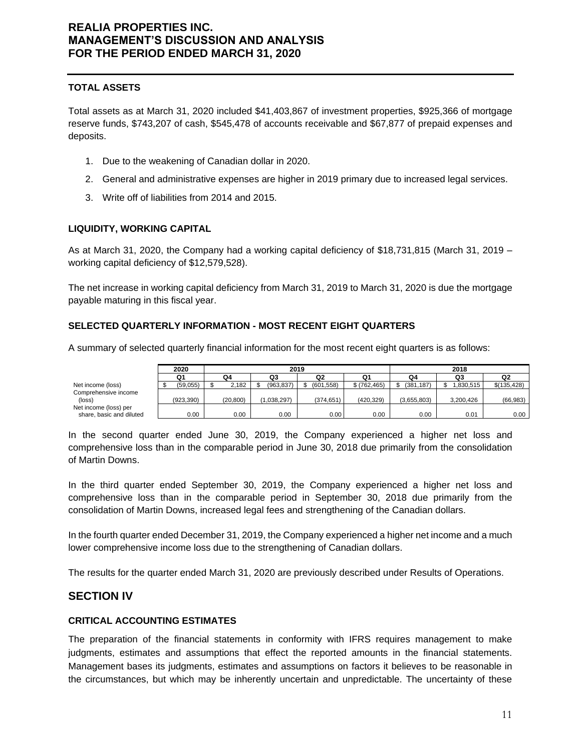### **TOTAL ASSETS**

Total assets as at March 31, 2020 included \$41,403,867 of investment properties, \$925,366 of mortgage reserve funds, \$743,207 of cash, \$545,478 of accounts receivable and \$67,877 of prepaid expenses and deposits.

- 1. Due to the weakening of Canadian dollar in 2020.
- 2. General and administrative expenses are higher in 2019 primary due to increased legal services.
- 3. Write off of liabilities from 2014 and 2015.

### **LIQUIDITY, WORKING CAPITAL**

As at March 31, 2020, the Company had a working capital deficiency of \$18,731,815 (March 31, 2019 – working capital deficiency of \$12,579,528).

The net increase in working capital deficiency from March 31, 2019 to March 31, 2020 is due the mortgage payable maturing in this fiscal year.

### **SELECTED QUARTERLY INFORMATION - MOST RECENT EIGHT QUARTERS**

A summary of selected quarterly financial information for the most recent eight quarters is as follows:

|                          | 2020       | 2019 |           |  |             |  |            | 2018        |  |             |  |           |  |              |
|--------------------------|------------|------|-----------|--|-------------|--|------------|-------------|--|-------------|--|-----------|--|--------------|
|                          | Q1         |      | Q4        |  | Q3          |  | Q2         | Q1          |  | Q4          |  | Q3        |  | Q2           |
| Net income (loss)        | (59.055)   |      | 2.182     |  | (963.837)   |  | (601.558)  | \$(762.465) |  | (381, 187)  |  | .830.515  |  | \$(135, 428) |
| Comprehensive income     |            |      |           |  |             |  |            |             |  |             |  |           |  |              |
| (loss)                   | (923, 390) |      | (20, 800) |  | (1.038.297) |  | (374, 651) | (420.329)   |  | (3.655.803) |  | 3.200.426 |  | (66, 983)    |
| Net income (loss) per    |            |      |           |  |             |  |            |             |  |             |  |           |  |              |
| share, basic and diluted | 0.00       |      | 0.00      |  | 0.00        |  | 0.00       | 0.00        |  | 0.00        |  | 0.01      |  | 0.00         |

In the second quarter ended June 30, 2019, the Company experienced a higher net loss and comprehensive loss than in the comparable period in June 30, 2018 due primarily from the consolidation of Martin Downs.

In the third quarter ended September 30, 2019, the Company experienced a higher net loss and comprehensive loss than in the comparable period in September 30, 2018 due primarily from the consolidation of Martin Downs, increased legal fees and strengthening of the Canadian dollars.

In the fourth quarter ended December 31, 2019, the Company experienced a higher net income and a much lower comprehensive income loss due to the strengthening of Canadian dollars.

The results for the quarter ended March 31, 2020 are previously described under Results of Operations.

## **SECTION IV**

### **CRITICAL ACCOUNTING ESTIMATES**

The preparation of the financial statements in conformity with IFRS requires management to make judgments, estimates and assumptions that effect the reported amounts in the financial statements. Management bases its judgments, estimates and assumptions on factors it believes to be reasonable in the circumstances, but which may be inherently uncertain and unpredictable. The uncertainty of these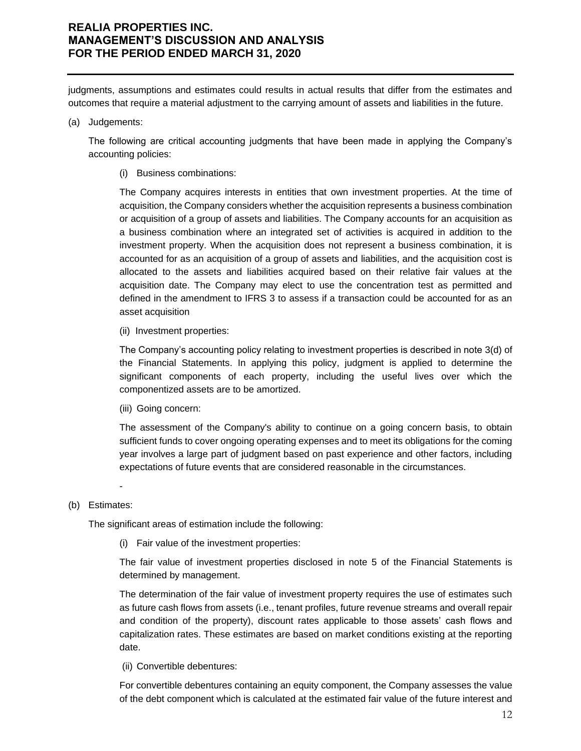judgments, assumptions and estimates could results in actual results that differ from the estimates and outcomes that require a material adjustment to the carrying amount of assets and liabilities in the future.

#### (a) Judgements:

The following are critical accounting judgments that have been made in applying the Company's accounting policies:

(i) Business combinations:

The Company acquires interests in entities that own investment properties. At the time of acquisition, the Company considers whether the acquisition represents a business combination or acquisition of a group of assets and liabilities. The Company accounts for an acquisition as a business combination where an integrated set of activities is acquired in addition to the investment property. When the acquisition does not represent a business combination, it is accounted for as an acquisition of a group of assets and liabilities, and the acquisition cost is allocated to the assets and liabilities acquired based on their relative fair values at the acquisition date. The Company may elect to use the concentration test as permitted and defined in the amendment to IFRS 3 to assess if a transaction could be accounted for as an asset acquisition

(ii) Investment properties:

The Company's accounting policy relating to investment properties is described in note 3(d) of the Financial Statements. In applying this policy, judgment is applied to determine the significant components of each property, including the useful lives over which the componentized assets are to be amortized.

(iii) Going concern:

The assessment of the Company's ability to continue on a going concern basis, to obtain sufficient funds to cover ongoing operating expenses and to meet its obligations for the coming year involves a large part of judgment based on past experience and other factors, including expectations of future events that are considered reasonable in the circumstances.

#### (b) Estimates:

-

The significant areas of estimation include the following:

(i) Fair value of the investment properties:

The fair value of investment properties disclosed in note 5 of the Financial Statements is determined by management.

The determination of the fair value of investment property requires the use of estimates such as future cash flows from assets (i.e., tenant profiles, future revenue streams and overall repair and condition of the property), discount rates applicable to those assets' cash flows and capitalization rates. These estimates are based on market conditions existing at the reporting date.

(ii) Convertible debentures:

For convertible debentures containing an equity component, the Company assesses the value of the debt component which is calculated at the estimated fair value of the future interest and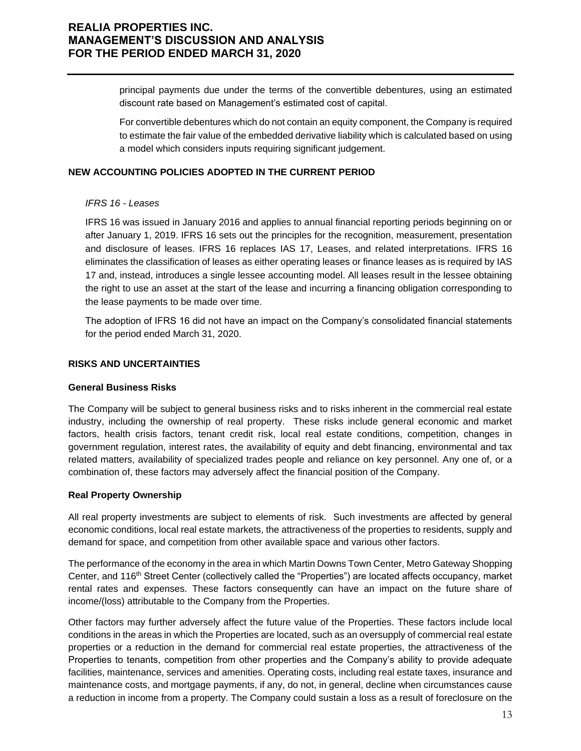principal payments due under the terms of the convertible debentures, using an estimated discount rate based on Management's estimated cost of capital.

For convertible debentures which do not contain an equity component, the Company is required to estimate the fair value of the embedded derivative liability which is calculated based on using a model which considers inputs requiring significant judgement.

### **NEW ACCOUNTING POLICIES ADOPTED IN THE CURRENT PERIOD**

#### *IFRS 16 - Leases*

IFRS 16 was issued in January 2016 and applies to annual financial reporting periods beginning on or after January 1, 2019. IFRS 16 sets out the principles for the recognition, measurement, presentation and disclosure of leases. IFRS 16 replaces IAS 17, Leases, and related interpretations. IFRS 16 eliminates the classification of leases as either operating leases or finance leases as is required by IAS 17 and, instead, introduces a single lessee accounting model. All leases result in the lessee obtaining the right to use an asset at the start of the lease and incurring a financing obligation corresponding to the lease payments to be made over time.

The adoption of IFRS 16 did not have an impact on the Company's consolidated financial statements for the period ended March 31, 2020.

#### **RISKS AND UNCERTAINTIES**

#### **General Business Risks**

The Company will be subject to general business risks and to risks inherent in the commercial real estate industry, including the ownership of real property. These risks include general economic and market factors, health crisis factors, tenant credit risk, local real estate conditions, competition, changes in government regulation, interest rates, the availability of equity and debt financing, environmental and tax related matters, availability of specialized trades people and reliance on key personnel. Any one of, or a combination of, these factors may adversely affect the financial position of the Company.

#### **Real Property Ownership**

All real property investments are subject to elements of risk. Such investments are affected by general economic conditions, local real estate markets, the attractiveness of the properties to residents, supply and demand for space, and competition from other available space and various other factors.

The performance of the economy in the area in which Martin Downs Town Center, Metro Gateway Shopping Center, and 116th Street Center (collectively called the "Properties") are located affects occupancy, market rental rates and expenses. These factors consequently can have an impact on the future share of income/(loss) attributable to the Company from the Properties.

Other factors may further adversely affect the future value of the Properties. These factors include local conditions in the areas in which the Properties are located, such as an oversupply of commercial real estate properties or a reduction in the demand for commercial real estate properties, the attractiveness of the Properties to tenants, competition from other properties and the Company's ability to provide adequate facilities, maintenance, services and amenities. Operating costs, including real estate taxes, insurance and maintenance costs, and mortgage payments, if any, do not, in general, decline when circumstances cause a reduction in income from a property. The Company could sustain a loss as a result of foreclosure on the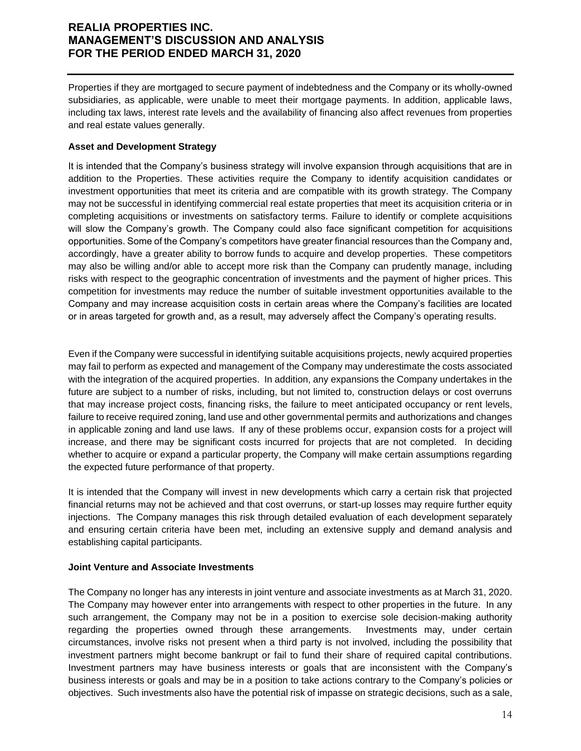Properties if they are mortgaged to secure payment of indebtedness and the Company or its wholly-owned subsidiaries, as applicable, were unable to meet their mortgage payments. In addition, applicable laws, including tax laws, interest rate levels and the availability of financing also affect revenues from properties and real estate values generally.

### **Asset and Development Strategy**

It is intended that the Company's business strategy will involve expansion through acquisitions that are in addition to the Properties. These activities require the Company to identify acquisition candidates or investment opportunities that meet its criteria and are compatible with its growth strategy. The Company may not be successful in identifying commercial real estate properties that meet its acquisition criteria or in completing acquisitions or investments on satisfactory terms. Failure to identify or complete acquisitions will slow the Company's growth. The Company could also face significant competition for acquisitions opportunities. Some of the Company's competitors have greater financial resources than the Company and, accordingly, have a greater ability to borrow funds to acquire and develop properties. These competitors may also be willing and/or able to accept more risk than the Company can prudently manage, including risks with respect to the geographic concentration of investments and the payment of higher prices. This competition for investments may reduce the number of suitable investment opportunities available to the Company and may increase acquisition costs in certain areas where the Company's facilities are located or in areas targeted for growth and, as a result, may adversely affect the Company's operating results.

Even if the Company were successful in identifying suitable acquisitions projects, newly acquired properties may fail to perform as expected and management of the Company may underestimate the costs associated with the integration of the acquired properties. In addition, any expansions the Company undertakes in the future are subject to a number of risks, including, but not limited to, construction delays or cost overruns that may increase project costs, financing risks, the failure to meet anticipated occupancy or rent levels, failure to receive required zoning, land use and other governmental permits and authorizations and changes in applicable zoning and land use laws. If any of these problems occur, expansion costs for a project will increase, and there may be significant costs incurred for projects that are not completed. In deciding whether to acquire or expand a particular property, the Company will make certain assumptions regarding the expected future performance of that property.

It is intended that the Company will invest in new developments which carry a certain risk that projected financial returns may not be achieved and that cost overruns, or start-up losses may require further equity injections. The Company manages this risk through detailed evaluation of each development separately and ensuring certain criteria have been met, including an extensive supply and demand analysis and establishing capital participants.

#### **Joint Venture and Associate Investments**

The Company no longer has any interests in joint venture and associate investments as at March 31, 2020. The Company may however enter into arrangements with respect to other properties in the future. In any such arrangement, the Company may not be in a position to exercise sole decision-making authority regarding the properties owned through these arrangements. Investments may, under certain circumstances, involve risks not present when a third party is not involved, including the possibility that investment partners might become bankrupt or fail to fund their share of required capital contributions. Investment partners may have business interests or goals that are inconsistent with the Company's business interests or goals and may be in a position to take actions contrary to the Company's policies or objectives. Such investments also have the potential risk of impasse on strategic decisions, such as a sale,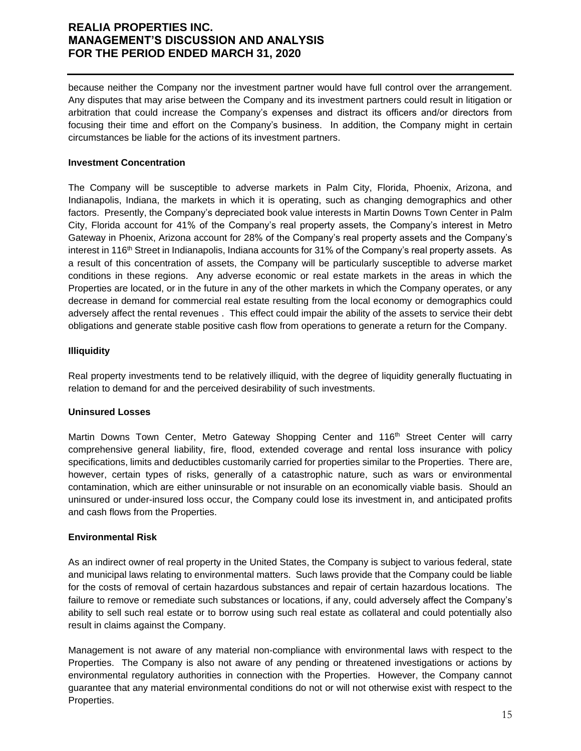because neither the Company nor the investment partner would have full control over the arrangement. Any disputes that may arise between the Company and its investment partners could result in litigation or arbitration that could increase the Company's expenses and distract its officers and/or directors from focusing their time and effort on the Company's business. In addition, the Company might in certain circumstances be liable for the actions of its investment partners.

### **Investment Concentration**

The Company will be susceptible to adverse markets in Palm City, Florida, Phoenix, Arizona, and Indianapolis, Indiana, the markets in which it is operating, such as changing demographics and other factors. Presently, the Company's depreciated book value interests in Martin Downs Town Center in Palm City, Florida account for 41% of the Company's real property assets, the Company's interest in Metro Gateway in Phoenix, Arizona account for 28% of the Company's real property assets and the Company's interest in 116<sup>th</sup> Street in Indianapolis, Indiana accounts for 31% of the Company's real property assets. As a result of this concentration of assets, the Company will be particularly susceptible to adverse market conditions in these regions. Any adverse economic or real estate markets in the areas in which the Properties are located, or in the future in any of the other markets in which the Company operates, or any decrease in demand for commercial real estate resulting from the local economy or demographics could adversely affect the rental revenues . This effect could impair the ability of the assets to service their debt obligations and generate stable positive cash flow from operations to generate a return for the Company.

#### **Illiquidity**

Real property investments tend to be relatively illiquid, with the degree of liquidity generally fluctuating in relation to demand for and the perceived desirability of such investments.

### **Uninsured Losses**

Martin Downs Town Center, Metro Gateway Shopping Center and 116<sup>th</sup> Street Center will carry comprehensive general liability, fire, flood, extended coverage and rental loss insurance with policy specifications, limits and deductibles customarily carried for properties similar to the Properties. There are, however, certain types of risks, generally of a catastrophic nature, such as wars or environmental contamination, which are either uninsurable or not insurable on an economically viable basis. Should an uninsured or under-insured loss occur, the Company could lose its investment in, and anticipated profits and cash flows from the Properties.

### **Environmental Risk**

As an indirect owner of real property in the United States, the Company is subject to various federal, state and municipal laws relating to environmental matters. Such laws provide that the Company could be liable for the costs of removal of certain hazardous substances and repair of certain hazardous locations. The failure to remove or remediate such substances or locations, if any, could adversely affect the Company's ability to sell such real estate or to borrow using such real estate as collateral and could potentially also result in claims against the Company.

Management is not aware of any material non-compliance with environmental laws with respect to the Properties. The Company is also not aware of any pending or threatened investigations or actions by environmental regulatory authorities in connection with the Properties. However, the Company cannot guarantee that any material environmental conditions do not or will not otherwise exist with respect to the Properties.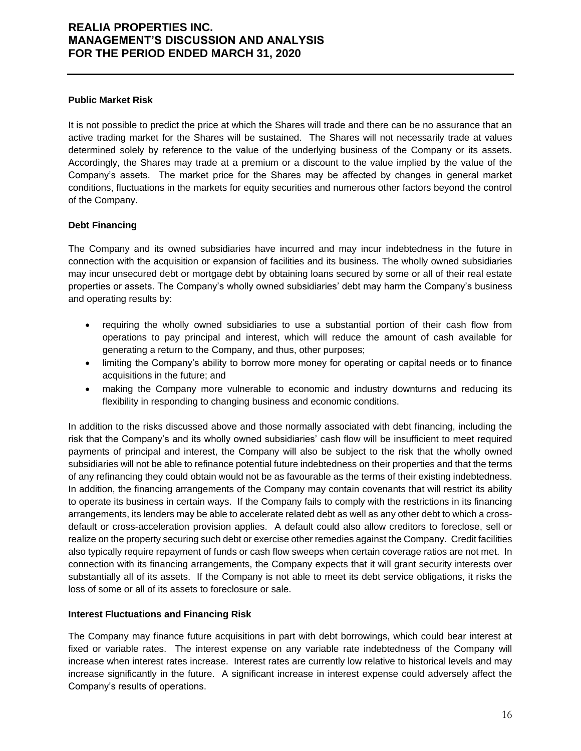### **Public Market Risk**

It is not possible to predict the price at which the Shares will trade and there can be no assurance that an active trading market for the Shares will be sustained. The Shares will not necessarily trade at values determined solely by reference to the value of the underlying business of the Company or its assets. Accordingly, the Shares may trade at a premium or a discount to the value implied by the value of the Company's assets. The market price for the Shares may be affected by changes in general market conditions, fluctuations in the markets for equity securities and numerous other factors beyond the control of the Company.

#### **Debt Financing**

The Company and its owned subsidiaries have incurred and may incur indebtedness in the future in connection with the acquisition or expansion of facilities and its business. The wholly owned subsidiaries may incur unsecured debt or mortgage debt by obtaining loans secured by some or all of their real estate properties or assets. The Company's wholly owned subsidiaries' debt may harm the Company's business and operating results by:

- requiring the wholly owned subsidiaries to use a substantial portion of their cash flow from operations to pay principal and interest, which will reduce the amount of cash available for generating a return to the Company, and thus, other purposes;
- limiting the Company's ability to borrow more money for operating or capital needs or to finance acquisitions in the future; and
- making the Company more vulnerable to economic and industry downturns and reducing its flexibility in responding to changing business and economic conditions.

In addition to the risks discussed above and those normally associated with debt financing, including the risk that the Company's and its wholly owned subsidiaries' cash flow will be insufficient to meet required payments of principal and interest, the Company will also be subject to the risk that the wholly owned subsidiaries will not be able to refinance potential future indebtedness on their properties and that the terms of any refinancing they could obtain would not be as favourable as the terms of their existing indebtedness. In addition, the financing arrangements of the Company may contain covenants that will restrict its ability to operate its business in certain ways. If the Company fails to comply with the restrictions in its financing arrangements, its lenders may be able to accelerate related debt as well as any other debt to which a crossdefault or cross-acceleration provision applies. A default could also allow creditors to foreclose, sell or realize on the property securing such debt or exercise other remedies against the Company. Credit facilities also typically require repayment of funds or cash flow sweeps when certain coverage ratios are not met. In connection with its financing arrangements, the Company expects that it will grant security interests over substantially all of its assets. If the Company is not able to meet its debt service obligations, it risks the loss of some or all of its assets to foreclosure or sale.

### **Interest Fluctuations and Financing Risk**

The Company may finance future acquisitions in part with debt borrowings, which could bear interest at fixed or variable rates. The interest expense on any variable rate indebtedness of the Company will increase when interest rates increase. Interest rates are currently low relative to historical levels and may increase significantly in the future. A significant increase in interest expense could adversely affect the Company's results of operations.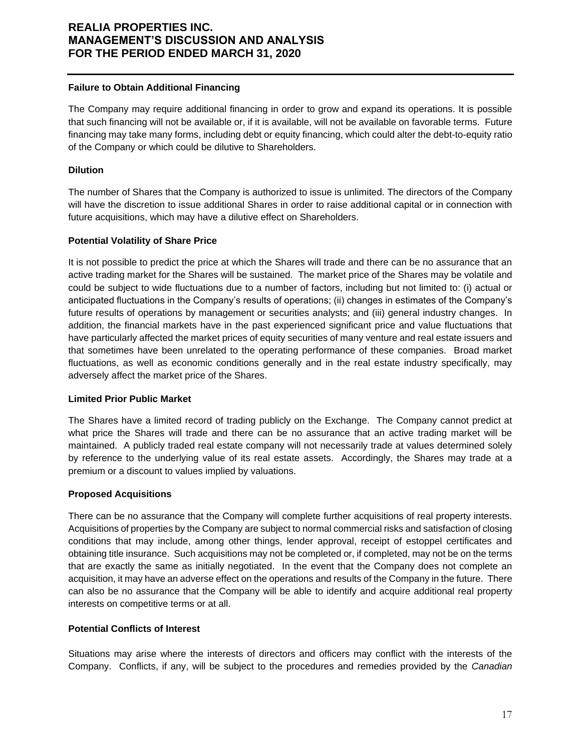### **Failure to Obtain Additional Financing**

The Company may require additional financing in order to grow and expand its operations. It is possible that such financing will not be available or, if it is available, will not be available on favorable terms. Future financing may take many forms, including debt or equity financing, which could alter the debt-to-equity ratio of the Company or which could be dilutive to Shareholders.

### **Dilution**

The number of Shares that the Company is authorized to issue is unlimited. The directors of the Company will have the discretion to issue additional Shares in order to raise additional capital or in connection with future acquisitions, which may have a dilutive effect on Shareholders.

### **Potential Volatility of Share Price**

It is not possible to predict the price at which the Shares will trade and there can be no assurance that an active trading market for the Shares will be sustained. The market price of the Shares may be volatile and could be subject to wide fluctuations due to a number of factors, including but not limited to: (i) actual or anticipated fluctuations in the Company's results of operations; (ii) changes in estimates of the Company's future results of operations by management or securities analysts; and (iii) general industry changes. In addition, the financial markets have in the past experienced significant price and value fluctuations that have particularly affected the market prices of equity securities of many venture and real estate issuers and that sometimes have been unrelated to the operating performance of these companies. Broad market fluctuations, as well as economic conditions generally and in the real estate industry specifically, may adversely affect the market price of the Shares.

#### **Limited Prior Public Market**

The Shares have a limited record of trading publicly on the Exchange. The Company cannot predict at what price the Shares will trade and there can be no assurance that an active trading market will be maintained. A publicly traded real estate company will not necessarily trade at values determined solely by reference to the underlying value of its real estate assets. Accordingly, the Shares may trade at a premium or a discount to values implied by valuations.

#### **Proposed Acquisitions**

There can be no assurance that the Company will complete further acquisitions of real property interests. Acquisitions of properties by the Company are subject to normal commercial risks and satisfaction of closing conditions that may include, among other things, lender approval, receipt of estoppel certificates and obtaining title insurance. Such acquisitions may not be completed or, if completed, may not be on the terms that are exactly the same as initially negotiated. In the event that the Company does not complete an acquisition, it may have an adverse effect on the operations and results of the Company in the future. There can also be no assurance that the Company will be able to identify and acquire additional real property interests on competitive terms or at all.

### **Potential Conflicts of Interest**

Situations may arise where the interests of directors and officers may conflict with the interests of the Company. Conflicts, if any, will be subject to the procedures and remedies provided by the *Canadian*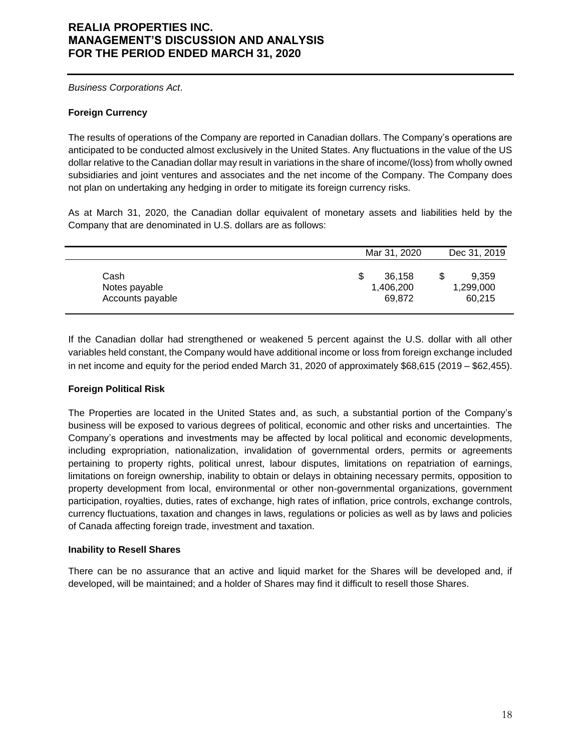*Business Corporations Act*.

### **Foreign Currency**

The results of operations of the Company are reported in Canadian dollars. The Company's operations are anticipated to be conducted almost exclusively in the United States. Any fluctuations in the value of the US dollar relative to the Canadian dollar may result in variations in the share of income/(loss) from wholly owned subsidiaries and joint ventures and associates and the net income of the Company. The Company does not plan on undertaking any hedging in order to mitigate its foreign currency risks.

As at March 31, 2020, the Canadian dollar equivalent of monetary assets and liabilities held by the Company that are denominated in U.S. dollars are as follows:

|                  | Mar 31, 2020 | Dec 31, 2019 |
|------------------|--------------|--------------|
| Cash             | 36,158       | 9,359        |
| Notes payable    | 1,406,200    | 1,299,000    |
| Accounts payable | 69.872       | 60,215       |

If the Canadian dollar had strengthened or weakened 5 percent against the U.S. dollar with all other variables held constant, the Company would have additional income or loss from foreign exchange included in net income and equity for the period ended March 31, 2020 of approximately \$68,615 (2019 – \$62,455).

### **Foreign Political Risk**

The Properties are located in the United States and, as such, a substantial portion of the Company's business will be exposed to various degrees of political, economic and other risks and uncertainties. The Company's operations and investments may be affected by local political and economic developments, including expropriation, nationalization, invalidation of governmental orders, permits or agreements pertaining to property rights, political unrest, labour disputes, limitations on repatriation of earnings, limitations on foreign ownership, inability to obtain or delays in obtaining necessary permits, opposition to property development from local, environmental or other non-governmental organizations, government participation, royalties, duties, rates of exchange, high rates of inflation, price controls, exchange controls, currency fluctuations, taxation and changes in laws, regulations or policies as well as by laws and policies of Canada affecting foreign trade, investment and taxation.

#### **Inability to Resell Shares**

There can be no assurance that an active and liquid market for the Shares will be developed and, if developed, will be maintained; and a holder of Shares may find it difficult to resell those Shares.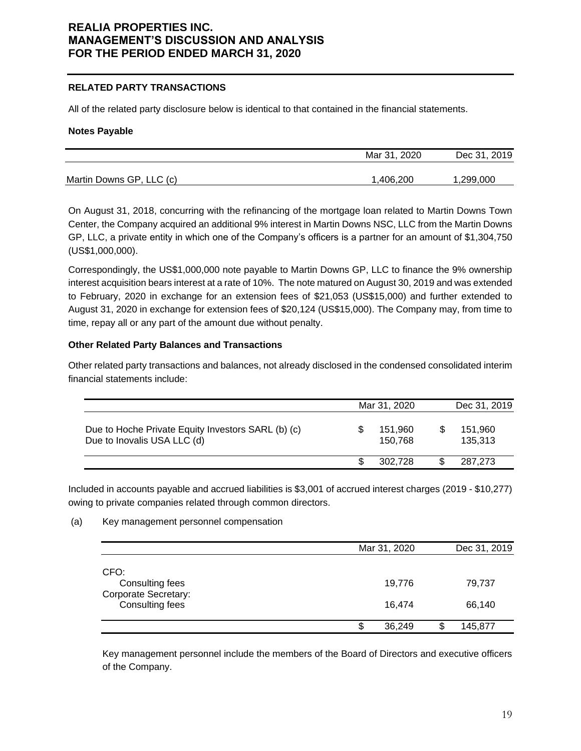### **RELATED PARTY TRANSACTIONS**

All of the related party disclosure below is identical to that contained in the financial statements.

#### **Notes Payable**

|                          | Mar 31, 2020 | Dec 31, 2019 |
|--------------------------|--------------|--------------|
| Martin Downs GP, LLC (c) | 1,406,200    | 1,299,000    |

On August 31, 2018, concurring with the refinancing of the mortgage loan related to Martin Downs Town Center, the Company acquired an additional 9% interest in Martin Downs NSC, LLC from the Martin Downs GP, LLC, a private entity in which one of the Company's officers is a partner for an amount of \$1,304,750 (US\$1,000,000).

Correspondingly, the US\$1,000,000 note payable to Martin Downs GP, LLC to finance the 9% ownership interest acquisition bears interest at a rate of 10%. The note matured on August 30, 2019 and was extended to February, 2020 in exchange for an extension fees of \$21,053 (US\$15,000) and further extended to August 31, 2020 in exchange for extension fees of \$20,124 (US\$15,000). The Company may, from time to time, repay all or any part of the amount due without penalty.

#### **Other Related Party Balances and Transactions**

Other related party transactions and balances, not already disclosed in the condensed consolidated interim financial statements include:

|                                                                                   | Mar 31, 2020       | Dec 31, 2019       |
|-----------------------------------------------------------------------------------|--------------------|--------------------|
| Due to Hoche Private Equity Investors SARL (b) (c)<br>Due to Inovalis USA LLC (d) | 151.960<br>150.768 | 151,960<br>135.313 |
|                                                                                   | 302.728            | 287.273            |

Included in accounts payable and accrued liabilities is \$3,001 of accrued interest charges (2019 - \$10,277) owing to private companies related through common directors.

#### (a) Key management personnel compensation

|                                                                           | Mar 31, 2020     | Dec 31, 2019     |
|---------------------------------------------------------------------------|------------------|------------------|
| CFO:<br>Consulting fees<br><b>Corporate Secretary:</b><br>Consulting fees | 19,776<br>16,474 | 79,737<br>66,140 |
|                                                                           | 36,249           | 145,877          |

Key management personnel include the members of the Board of Directors and executive officers of the Company.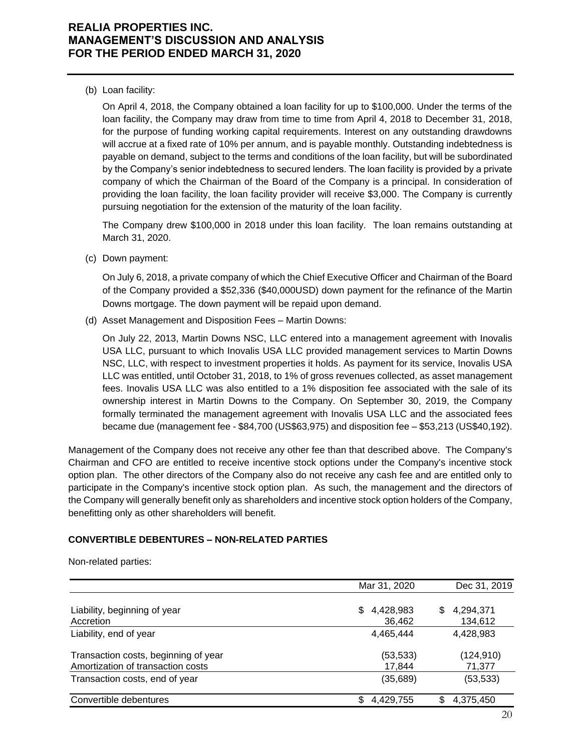(b) Loan facility:

On April 4, 2018, the Company obtained a loan facility for up to \$100,000. Under the terms of the loan facility, the Company may draw from time to time from April 4, 2018 to December 31, 2018, for the purpose of funding working capital requirements. Interest on any outstanding drawdowns will accrue at a fixed rate of 10% per annum, and is payable monthly. Outstanding indebtedness is payable on demand, subject to the terms and conditions of the loan facility, but will be subordinated by the Company's senior indebtedness to secured lenders. The loan facility is provided by a private company of which the Chairman of the Board of the Company is a principal. In consideration of providing the loan facility, the loan facility provider will receive \$3,000. The Company is currently pursuing negotiation for the extension of the maturity of the loan facility.

The Company drew \$100,000 in 2018 under this loan facility. The loan remains outstanding at March 31, 2020.

(c) Down payment:

On July 6, 2018, a private company of which the Chief Executive Officer and Chairman of the Board of the Company provided a \$52,336 (\$40,000USD) down payment for the refinance of the Martin Downs mortgage. The down payment will be repaid upon demand.

(d) Asset Management and Disposition Fees – Martin Downs:

On July 22, 2013, Martin Downs NSC, LLC entered into a management agreement with Inovalis USA LLC, pursuant to which Inovalis USA LLC provided management services to Martin Downs NSC, LLC, with respect to investment properties it holds. As payment for its service, Inovalis USA LLC was entitled, until October 31, 2018, to 1% of gross revenues collected, as asset management fees. Inovalis USA LLC was also entitled to a 1% disposition fee associated with the sale of its ownership interest in Martin Downs to the Company. On September 30, 2019, the Company formally terminated the management agreement with Inovalis USA LLC and the associated fees became due (management fee - \$84,700 (US\$63,975) and disposition fee – \$53,213 (US\$40,192).

Management of the Company does not receive any other fee than that described above. The Company's Chairman and CFO are entitled to receive incentive stock options under the Company's incentive stock option plan. The other directors of the Company also do not receive any cash fee and are entitled only to participate in the Company's incentive stock option plan. As such, the management and the directors of the Company will generally benefit only as shareholders and incentive stock option holders of the Company, benefitting only as other shareholders will benefit.

### **CONVERTIBLE DEBENTURES – NON-RELATED PARTIES**

Non-related parties:

|                                                                           | Mar 31, 2020               | Dec 31, 2019              |
|---------------------------------------------------------------------------|----------------------------|---------------------------|
| Liability, beginning of year<br>Accretion                                 | 4,428,983<br>\$.<br>36,462 | 4,294,371<br>S<br>134,612 |
| Liability, end of year                                                    | 4,465,444                  | 4,428,983                 |
| Transaction costs, beginning of year<br>Amortization of transaction costs | (53, 533)<br>17.844        | (124, 910)<br>71,377      |
| Transaction costs, end of year                                            | (35, 689)                  | (53, 533)                 |
| Convertible debentures                                                    | S<br>4,429,755             | S<br>4,375,450            |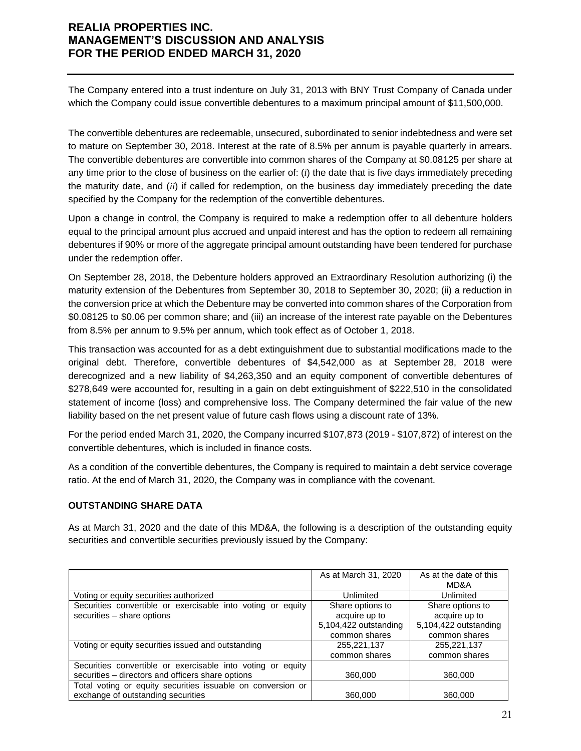The Company entered into a trust indenture on July 31, 2013 with BNY Trust Company of Canada under which the Company could issue convertible debentures to a maximum principal amount of \$11,500,000.

The convertible debentures are redeemable, unsecured, subordinated to senior indebtedness and were set to mature on September 30, 2018. Interest at the rate of 8.5% per annum is payable quarterly in arrears. The convertible debentures are convertible into common shares of the Company at \$0.08125 per share at any time prior to the close of business on the earlier of: (*i*) the date that is five days immediately preceding the maturity date, and (*ii*) if called for redemption, on the business day immediately preceding the date specified by the Company for the redemption of the convertible debentures.

Upon a change in control, the Company is required to make a redemption offer to all debenture holders equal to the principal amount plus accrued and unpaid interest and has the option to redeem all remaining debentures if 90% or more of the aggregate principal amount outstanding have been tendered for purchase under the redemption offer.

On September 28, 2018, the Debenture holders approved an Extraordinary Resolution authorizing (i) the maturity extension of the Debentures from September 30, 2018 to September 30, 2020; (ii) a reduction in the conversion price at which the Debenture may be converted into common shares of the Corporation from \$0.08125 to \$0.06 per common share; and (iii) an increase of the interest rate payable on the Debentures from 8.5% per annum to 9.5% per annum, which took effect as of October 1, 2018.

This transaction was accounted for as a debt extinguishment due to substantial modifications made to the original debt. Therefore, convertible debentures of \$4,542,000 as at September 28, 2018 were derecognized and a new liability of \$4,263,350 and an equity component of convertible debentures of \$278,649 were accounted for, resulting in a gain on debt extinguishment of \$222,510 in the consolidated statement of income (loss) and comprehensive loss. The Company determined the fair value of the new liability based on the net present value of future cash flows using a discount rate of 13%.

For the period ended March 31, 2020, the Company incurred \$107,873 (2019 - \$107,872) of interest on the convertible debentures, which is included in finance costs.

As a condition of the convertible debentures, the Company is required to maintain a debt service coverage ratio. At the end of March 31, 2020, the Company was in compliance with the covenant.

## **OUTSTANDING SHARE DATA**

As at March 31, 2020 and the date of this MD&A, the following is a description of the outstanding equity securities and convertible securities previously issued by the Company:

|                                                             | As at March 31, 2020  | As at the date of this |
|-------------------------------------------------------------|-----------------------|------------------------|
|                                                             |                       | MD&A                   |
| Voting or equity securities authorized                      | Unlimited             | Unlimited              |
| Securities convertible or exercisable into voting or equity | Share options to      | Share options to       |
| securities - share options                                  | acquire up to         | acquire up to          |
|                                                             | 5,104,422 outstanding | 5,104,422 outstanding  |
|                                                             | common shares         | common shares          |
| Voting or equity securities issued and outstanding          | 255,221,137           | 255,221,137            |
|                                                             | common shares         | common shares          |
| Securities convertible or exercisable into voting or equity |                       |                        |
| securities - directors and officers share options           | 360,000               | 360,000                |
| Total voting or equity securities issuable on conversion or |                       |                        |
| exchange of outstanding securities                          | 360,000               | 360,000                |